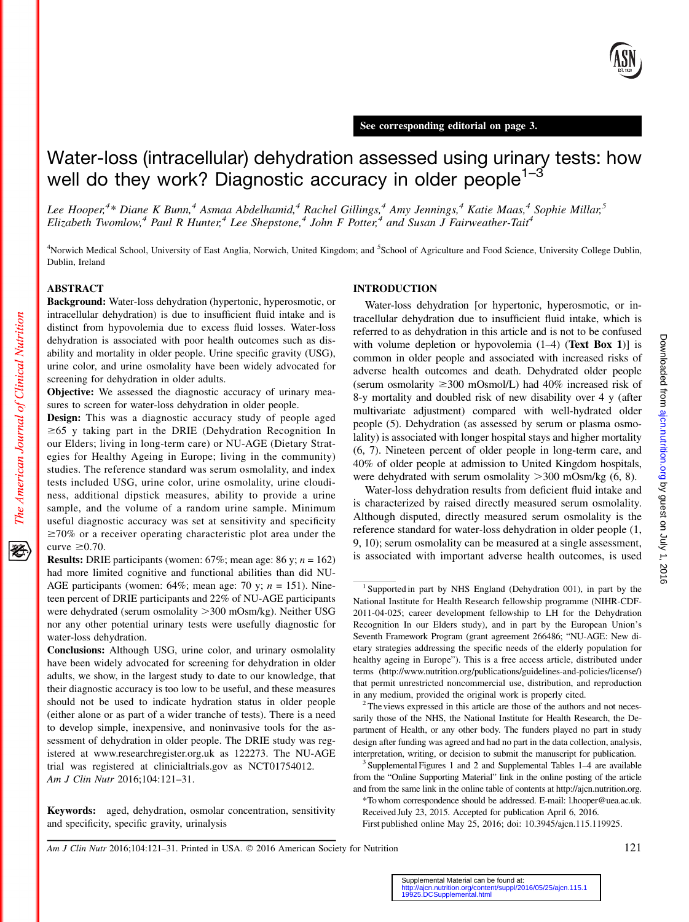See corresponding editorial on page 3.

# Water-loss (intracellular) dehydration assessed using urinary tests: how well do they work? Diagnostic accuracy in older people<sup>1-3</sup>

Lee Hooper,<sup>4</sup>\* Diane K Bunn,<sup>4</sup> Asmaa Abdelhamid,<sup>4</sup> Rachel Gillings,<sup>4</sup> Amy Jennings,<sup>4</sup> Katie Maas,<sup>4</sup> Sophie Millar,<sup>5</sup> Elizabeth Twomlow,<sup>4</sup> Paul R Hunter,<sup>4</sup> Lee Shepstone,<sup>4</sup> John F Potter,<sup>4</sup> and Susan J Fairweather-Tait<sup>4</sup>

<sup>4</sup>Norwich Medical School, University of East Anglia, Norwich, United Kingdom; and <sup>5</sup>School of Agriculture and Food Science, University College Dublin, Dublin, Ireland

# ABSTRACT

Background: Water-loss dehydration (hypertonic, hyperosmotic, or intracellular dehydration) is due to insufficient fluid intake and is distinct from hypovolemia due to excess fluid losses. Water-loss dehydration is associated with poor health outcomes such as disability and mortality in older people. Urine specific gravity (USG), urine color, and urine osmolality have been widely advocated for screening for dehydration in older adults.

Objective: We assessed the diagnostic accuracy of urinary measures to screen for water-loss dehydration in older people.

Design: This was a diagnostic accuracy study of people aged  $\geq 65$  y taking part in the DRIE (Dehydration Recognition In our Elders; living in long-term care) or NU-AGE (Dietary Strategies for Healthy Ageing in Europe; living in the community) studies. The reference standard was serum osmolality, and index tests included USG, urine color, urine osmolality, urine cloudiness, additional dipstick measures, ability to provide a urine sample, and the volume of a random urine sample. Minimum useful diagnostic accuracy was set at sensitivity and specificity  $\geq 70\%$  or a receiver operating characteristic plot area under the curve  $\geq 0.70$ .

**Results:** DRIE participants (women:  $67\%$ ; mean age: 86 y;  $n = 162$ ) had more limited cognitive and functional abilities than did NU-AGE participants (women:  $64\%$ ; mean age: 70 y;  $n = 151$ ). Nineteen percent of DRIE participants and 22% of NU-AGE participants were dehydrated (serum osmolality  $>300$  mOsm/kg). Neither USG nor any other potential urinary tests were usefully diagnostic for water-loss dehydration.

# Conclusions: Although USG, urine color, and urinary osmolality have been widely advocated for screening for dehydration in older adults, we show, in the largest study to date to our knowledge, that their diagnostic accuracy is too low to be useful, and these measures should not be used to indicate hydration status in older people (either alone or as part of a wider tranche of tests). There is a need to develop simple, inexpensive, and noninvasive tools for the assessment of dehydration in older people. The DRIE study was registered at www.researchregister.org.uk as 122273. The NU-AGE trial was registered at clinicialtrials.gov as NCT01754012. Am J Clin Nutr 2016;104:121–31.

Keywords: aged, dehydration, osmolar concentration, sensitivity and specificity, specific gravity, urinalysis

# INTRODUCTION

Water-loss dehydration [or hypertonic, hyperosmotic, or intracellular dehydration due to insufficient fluid intake, which is referred to as dehydration in this article and is not to be confused with volume depletion or hypovolemia  $(1-4)$  (Text Box 1)] is common in older people and associated with increased risks of adverse health outcomes and death. Dehydrated older people (serum osmolarity  $\geq 300$  mOsmol/L) had 40% increased risk of 8-y mortality and doubled risk of new disability over 4 y (after multivariate adjustment) compared with well-hydrated older people (5). Dehydration (as assessed by serum or plasma osmolality) is associated with longer hospital stays and higher mortality (6, 7). Nineteen percent of older people in long-term care, and 40% of older people at admission to United Kingdom hospitals, were dehydrated with serum osmolality  $>300$  mOsm/kg (6, 8).

Water-loss dehydration results from deficient fluid intake and is characterized by raised directly measured serum osmolality. Although disputed, directly measured serum osmolality is the reference standard for water-loss dehydration in older people (1, 9, 10); serum osmolality can be measured at a single assessment, is associated with important adverse health outcomes, is used

First published online May 25, 2016; doi: 10.3945/ajcn.115.119925.

Downloaded from ajon.nutrition.org by guest on July 1, 2016 by guest on July 1, 2016 [ajcn.nutrition.org](http://ajcn.nutrition.org/) Downloaded from

 $1$  Supported in part by NHS England (Dehydration 001), in part by the National Institute for Health Research fellowship programme (NIHR-CDF-2011-04-025; career development fellowship to LH for the Dehydration Recognition In our Elders study), and in part by the European Union's Seventh Framework Program (grant agreement 266486; "NU-AGE: New dietary strategies addressing the specific needs of the elderly population for healthy ageing in Europe"). This is a free access article, distributed under terms (http://www.nutrition.org/publications/guidelines-and-policies/license/) that permit unrestricted noncommercial use, distribution, and reproduction in any medium, provided the original work is properly cited.<br><sup>2</sup> The views expressed in this article are those of the authors and not neces-

sarily those of the NHS, the National Institute for Health Research, the Department of Health, or any other body. The funders played no part in study design after funding was agreed and had no part in the data collection, analysis, interpretation, writing, or decision to submit the manuscript for publication. <sup>3</sup> Supplemental Figures 1 and 2 and Supplemental Tables 1–4 are available

from the "Online Supporting Material" link in the online posting of the article and from the same link in the online table of contents at http://ajcn.nutrition.org.

<sup>\*</sup>Towhom correspondence should be addressed. E-mail: l.hooper@uea.ac.uk. Received July 23, 2015. Accepted for publication April 6, 2016.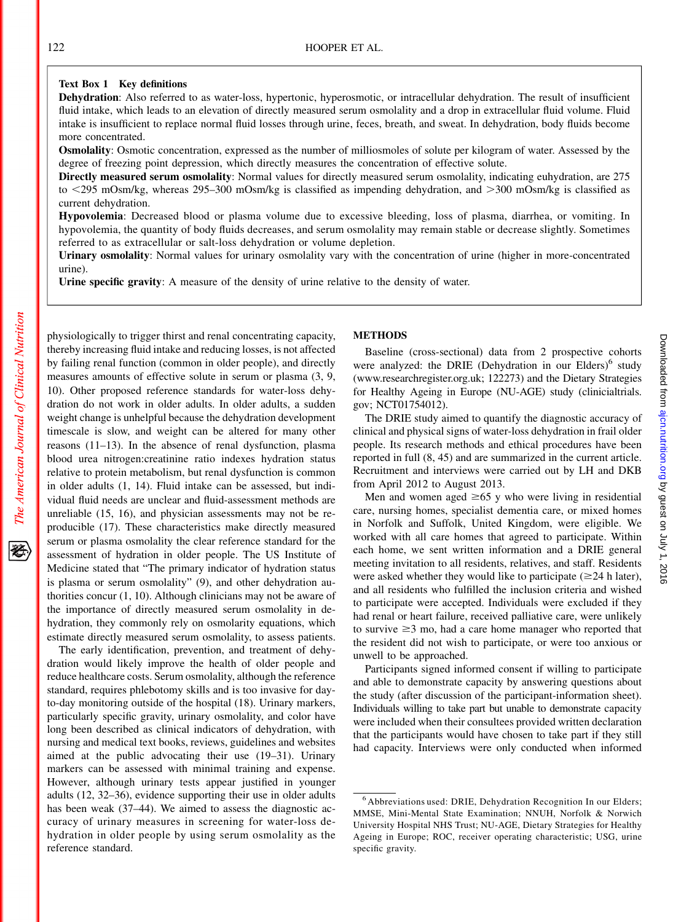# Text Box 1 Key definitions

Dehydration: Also referred to as water-loss, hypertonic, hyperosmotic, or intracellular dehydration. The result of insufficient fluid intake, which leads to an elevation of directly measured serum osmolality and a drop in extracellular fluid volume. Fluid intake is insufficient to replace normal fluid losses through urine, feces, breath, and sweat. In dehydration, body fluids become more concentrated.

Osmolality: Osmotic concentration, expressed as the number of milliosmoles of solute per kilogram of water. Assessed by the degree of freezing point depression, which directly measures the concentration of effective solute.

Directly measured serum osmolality: Normal values for directly measured serum osmolality, indicating euhydration, are 275 to  $\lt$ 295 mOsm/kg, whereas 295–300 mOsm/kg is classified as impending dehydration, and  $>$ 300 mOsm/kg is classified as current dehydration.

Hypovolemia: Decreased blood or plasma volume due to excessive bleeding, loss of plasma, diarrhea, or vomiting. In hypovolemia, the quantity of body fluids decreases, and serum osmolality may remain stable or decrease slightly. Sometimes referred to as extracellular or salt-loss dehydration or volume depletion.

Urinary osmolality: Normal values for urinary osmolality vary with the concentration of urine (higher in more-concentrated urine).

Urine specific gravity: A measure of the density of urine relative to the density of water.

经

physiologically to trigger thirst and renal concentrating capacity, thereby increasing fluid intake and reducing losses, is not affected by failing renal function (common in older people), and directly measures amounts of effective solute in serum or plasma (3, 9, 10). Other proposed reference standards for water-loss dehydration do not work in older adults. In older adults, a sudden weight change is unhelpful because the dehydration development timescale is slow, and weight can be altered for many other reasons (11–13). In the absence of renal dysfunction, plasma blood urea nitrogen:creatinine ratio indexes hydration status relative to protein metabolism, but renal dysfunction is common in older adults (1, 14). Fluid intake can be assessed, but individual fluid needs are unclear and fluid-assessment methods are unreliable (15, 16), and physician assessments may not be reproducible (17). These characteristics make directly measured serum or plasma osmolality the clear reference standard for the assessment of hydration in older people. The US Institute of Medicine stated that "The primary indicator of hydration status is plasma or serum osmolality" (9), and other dehydration authorities concur (1, 10). Although clinicians may not be aware of the importance of directly measured serum osmolality in dehydration, they commonly rely on osmolarity equations, which estimate directly measured serum osmolality, to assess patients.

The early identification, prevention, and treatment of dehydration would likely improve the health of older people and reduce healthcare costs. Serum osmolality, although the reference standard, requires phlebotomy skills and is too invasive for dayto-day monitoring outside of the hospital (18). Urinary markers, particularly specific gravity, urinary osmolality, and color have long been described as clinical indicators of dehydration, with nursing and medical text books, reviews, guidelines and websites aimed at the public advocating their use (19–31). Urinary markers can be assessed with minimal training and expense. However, although urinary tests appear justified in younger adults (12, 32–36), evidence supporting their use in older adults has been weak (37–44). We aimed to assess the diagnostic accuracy of urinary measures in screening for water-loss dehydration in older people by using serum osmolality as the reference standard.

# **METHODS**

Baseline (cross-sectional) data from 2 prospective cohorts were analyzed: the DRIE (Dehydration in our Elders) $<sup>6</sup>$  study</sup> (www.researchregister.org.uk; 122273) and the Dietary Strategies for Healthy Ageing in Europe (NU-AGE) study (clinicialtrials. gov; NCT01754012).

The DRIE study aimed to quantify the diagnostic accuracy of clinical and physical signs of water-loss dehydration in frail older people. Its research methods and ethical procedures have been reported in full (8, 45) and are summarized in the current article. Recruitment and interviews were carried out by LH and DKB from April 2012 to August 2013.

by guest on July 1, 2016 [ajcn.nutrition.org](http://ajcn.nutrition.org/) Downloaded from

Downloaded from ajon.nutrition.org by guest on July 1, 2016

Men and women aged  $\geq 65$  y who were living in residential care, nursing homes, specialist dementia care, or mixed homes in Norfolk and Suffolk, United Kingdom, were eligible. We worked with all care homes that agreed to participate. Within each home, we sent written information and a DRIE general meeting invitation to all residents, relatives, and staff. Residents were asked whether they would like to participate  $(\geq 24$  h later), and all residents who fulfilled the inclusion criteria and wished to participate were accepted. Individuals were excluded if they had renal or heart failure, received palliative care, were unlikely to survive  $\geq$ 3 mo, had a care home manager who reported that the resident did not wish to participate, or were too anxious or unwell to be approached.

Participants signed informed consent if willing to participate and able to demonstrate capacity by answering questions about the study (after discussion of the participant-information sheet). Individuals willing to take part but unable to demonstrate capacity were included when their consultees provided written declaration that the participants would have chosen to take part if they still had capacity. Interviews were only conducted when informed

<sup>&</sup>lt;sup>6</sup> Abbreviations used: DRIE, Dehydration Recognition In our Elders; MMSE, Mini-Mental State Examination; NNUH, Norfolk & Norwich University Hospital NHS Trust; NU-AGE, Dietary Strategies for Healthy Ageing in Europe; ROC, receiver operating characteristic; USG, urine specific gravity.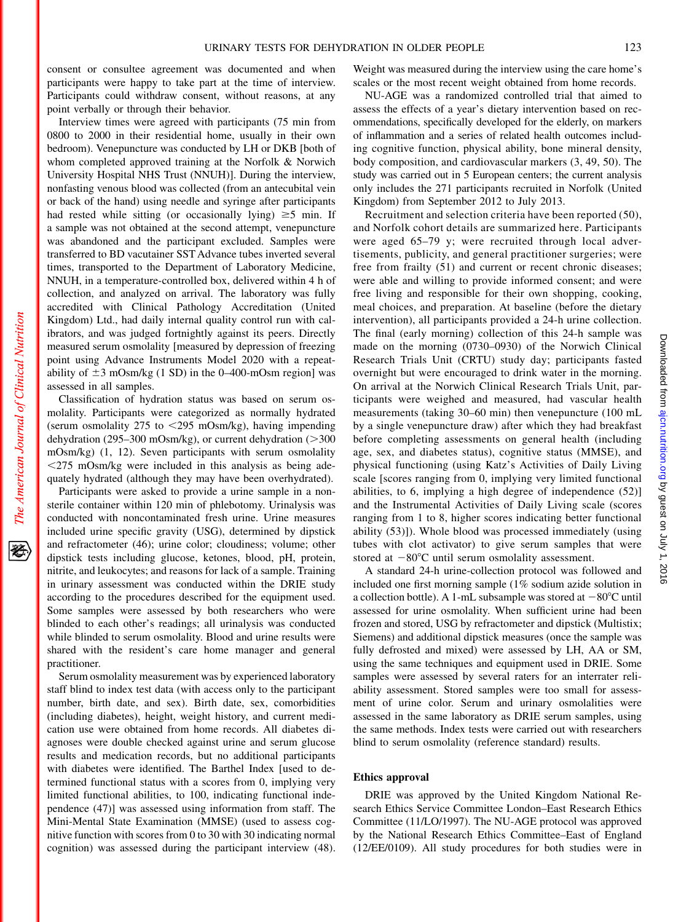consent or consultee agreement was documented and when participants were happy to take part at the time of interview. Participants could withdraw consent, without reasons, at any point verbally or through their behavior.

Interview times were agreed with participants (75 min from 0800 to 2000 in their residential home, usually in their own bedroom). Venepuncture was conducted by LH or DKB [both of whom completed approved training at the Norfolk & Norwich University Hospital NHS Trust (NNUH)]. During the interview, nonfasting venous blood was collected (from an antecubital vein or back of the hand) using needle and syringe after participants had rested while sitting (or occasionally lying)  $\geq 5$  min. If a sample was not obtained at the second attempt, venepuncture was abandoned and the participant excluded. Samples were transferred to BD vacutainer SST Advance tubes inverted several times, transported to the Department of Laboratory Medicine, NNUH, in a temperature-controlled box, delivered within 4 h of collection, and analyzed on arrival. The laboratory was fully accredited with Clinical Pathology Accreditation (United Kingdom) Ltd., had daily internal quality control run with calibrators, and was judged fortnightly against its peers. Directly measured serum osmolality [measured by depression of freezing point using Advance Instruments Model 2020 with a repeatability of  $\pm 3$  mOsm/kg (1 SD) in the 0–400-mOsm region] was assessed in all samples.

Classification of hydration status was based on serum osmolality. Participants were categorized as normally hydrated (serum osmolality 275 to  $\langle 295 \text{ mOsm/kg} \rangle$ , having impending dehydration (295–300 mOsm/kg), or current dehydration ( $>$ 300 mOsm/kg) (1, 12). Seven participants with serum osmolality  $\leq$ 275 mOsm/kg were included in this analysis as being adequately hydrated (although they may have been overhydrated).

The American Journal of Clinical Nutrition

资

Participants were asked to provide a urine sample in a nonsterile container within 120 min of phlebotomy. Urinalysis was conducted with noncontaminated fresh urine. Urine measures included urine specific gravity (USG), determined by dipstick and refractometer (46); urine color; cloudiness; volume; other dipstick tests including glucose, ketones, blood, pH, protein, nitrite, and leukocytes; and reasons for lack of a sample. Training in urinary assessment was conducted within the DRIE study according to the procedures described for the equipment used. Some samples were assessed by both researchers who were blinded to each other's readings; all urinalysis was conducted while blinded to serum osmolality. Blood and urine results were shared with the resident's care home manager and general practitioner.

Serum osmolality measurement was by experienced laboratory staff blind to index test data (with access only to the participant number, birth date, and sex). Birth date, sex, comorbidities (including diabetes), height, weight history, and current medication use were obtained from home records. All diabetes diagnoses were double checked against urine and serum glucose results and medication records, but no additional participants with diabetes were identified. The Barthel Index [used to determined functional status with a scores from 0, implying very limited functional abilities, to 100, indicating functional independence (47)] was assessed using information from staff. The Mini-Mental State Examination (MMSE) (used to assess cognitive function with scores from 0 to 30 with 30 indicating normal cognition) was assessed during the participant interview (48).

Weight was measured during the interview using the care home's scales or the most recent weight obtained from home records.

NU-AGE was a randomized controlled trial that aimed to assess the effects of a year's dietary intervention based on recommendations, specifically developed for the elderly, on markers of inflammation and a series of related health outcomes including cognitive function, physical ability, bone mineral density, body composition, and cardiovascular markers (3, 49, 50). The study was carried out in 5 European centers; the current analysis only includes the 271 participants recruited in Norfolk (United Kingdom) from September 2012 to July 2013.

Recruitment and selection criteria have been reported (50), and Norfolk cohort details are summarized here. Participants were aged 65–79 y; were recruited through local advertisements, publicity, and general practitioner surgeries; were free from frailty (51) and current or recent chronic diseases; were able and willing to provide informed consent; and were free living and responsible for their own shopping, cooking, meal choices, and preparation. At baseline (before the dietary intervention), all participants provided a 24-h urine collection. The final (early morning) collection of this 24-h sample was made on the morning (0730–0930) of the Norwich Clinical Research Trials Unit (CRTU) study day; participants fasted overnight but were encouraged to drink water in the morning. On arrival at the Norwich Clinical Research Trials Unit, participants were weighed and measured, had vascular health measurements (taking 30–60 min) then venepuncture (100 mL by a single venepuncture draw) after which they had breakfast before completing assessments on general health (including age, sex, and diabetes status), cognitive status (MMSE), and physical functioning (using Katz's Activities of Daily Living scale [scores ranging from 0, implying very limited functional abilities, to 6, implying a high degree of independence (52)] and the Instrumental Activities of Daily Living scale (scores ranging from 1 to 8, higher scores indicating better functional ability (53)]). Whole blood was processed immediately (using tubes with clot activator) to give serum samples that were stored at  $-80^{\circ}$ C until serum osmolality assessment.

A standard 24-h urine-collection protocol was followed and included one first morning sample (1% sodium azide solution in a collection bottle). A 1-mL subsample was stored at  $-80^{\circ}$ C until assessed for urine osmolality. When sufficient urine had been frozen and stored, USG by refractometer and dipstick (Multistix; Siemens) and additional dipstick measures (once the sample was fully defrosted and mixed) were assessed by LH, AA or SM, using the same techniques and equipment used in DRIE. Some samples were assessed by several raters for an interrater reliability assessment. Stored samples were too small for assessment of urine color. Serum and urinary osmolalities were assessed in the same laboratory as DRIE serum samples, using the same methods. Index tests were carried out with researchers blind to serum osmolality (reference standard) results.

### Ethics approval

DRIE was approved by the United Kingdom National Research Ethics Service Committee London–East Research Ethics Committee (11/LO/1997). The NU-AGE protocol was approved by the National Research Ethics Committee–East of England (12/EE/0109). All study procedures for both studies were in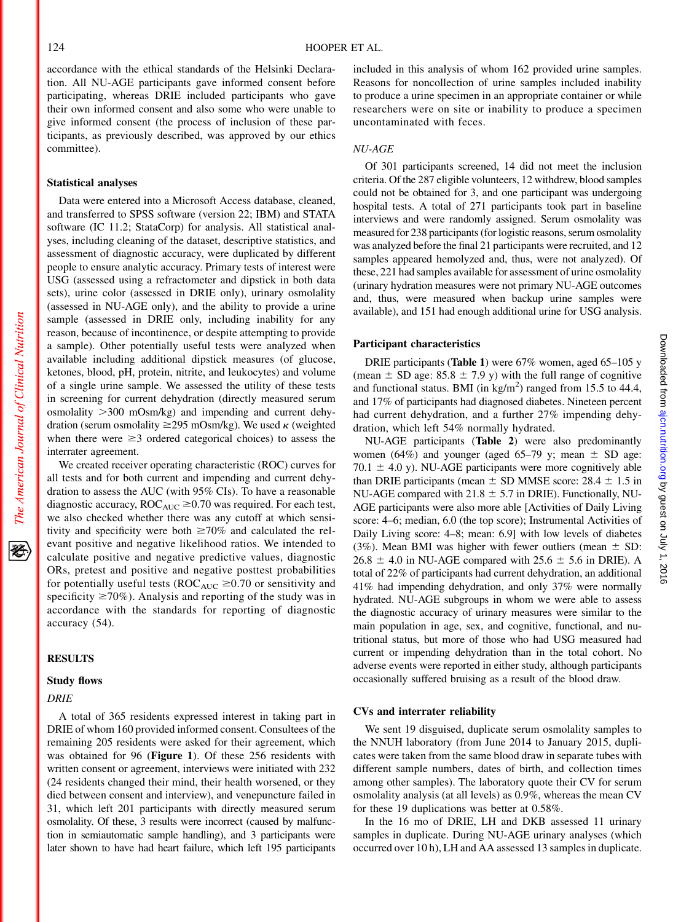accordance with the ethical standards of the Helsinki Declaration. All NU-AGE participants gave informed consent before participating, whereas DRIE included participants who gave their own informed consent and also some who were unable to give informed consent (the process of inclusion of these participants, as previously described, was approved by our ethics committee).

# Statistical analyses

Data were entered into a Microsoft Access database, cleaned, and transferred to SPSS software (version 22; IBM) and STATA software (IC 11.2; StataCorp) for analysis. All statistical analyses, including cleaning of the dataset, descriptive statistics, and assessment of diagnostic accuracy, were duplicated by different people to ensure analytic accuracy. Primary tests of interest were USG (assessed using a refractometer and dipstick in both data sets), urine color (assessed in DRIE only), urinary osmolality (assessed in NU-AGE only), and the ability to provide a urine sample (assessed in DRIE only, including inability for any reason, because of incontinence, or despite attempting to provide a sample). Other potentially useful tests were analyzed when available including additional dipstick measures (of glucose, ketones, blood, pH, protein, nitrite, and leukocytes) and volume of a single urine sample. We assessed the utility of these tests in screening for current dehydration (directly measured serum osmolality  $>300$  mOsm/kg) and impending and current dehydration (serum osmolality  $\geq$ 295 mOsm/kg). We used  $\kappa$  (weighted when there were  $\geq$ 3 ordered categorical choices) to assess the interrater agreement.

We created receiver operating characteristic (ROC) curves for all tests and for both current and impending and current dehydration to assess the AUC (with 95% CIs). To have a reasonable diagnostic accuracy,  $ROC_{AUC} \ge 0.70$  was required. For each test, we also checked whether there was any cutoff at which sensitivity and specificity were both  $\geq 70\%$  and calculated the relevant positive and negative likelihood ratios. We intended to calculate positive and negative predictive values, diagnostic ORs, pretest and positive and negative posttest probabilities for potentially useful tests ( $ROC_{AUC} \ge 0.70$  or sensitivity and specificity  $\geq 70\%$ ). Analysis and reporting of the study was in accordance with the standards for reporting of diagnostic accuracy (54).

# RESULTS

#### Study flows

# DRIE

The American Journal of Clinical Nutrition

资

A total of 365 residents expressed interest in taking part in DRIE of whom 160 provided informed consent. Consultees of the remaining 205 residents were asked for their agreement, which was obtained for 96 (Figure 1). Of these 256 residents with written consent or agreement, interviews were initiated with 232 (24 residents changed their mind, their health worsened, or they died between consent and interview), and venepuncture failed in 31, which left 201 participants with directly measured serum osmolality. Of these, 3 results were incorrect (caused by malfunction in semiautomatic sample handling), and 3 participants were later shown to have had heart failure, which left 195 participants

included in this analysis of whom 162 provided urine samples. Reasons for noncollection of urine samples included inability to produce a urine specimen in an appropriate container or while researchers were on site or inability to produce a specimen uncontaminated with feces.

## NU-AGE

Of 301 participants screened, 14 did not meet the inclusion criteria. Of the 287 eligible volunteers, 12 withdrew, blood samples could not be obtained for 3, and one participant was undergoing hospital tests. A total of 271 participants took part in baseline interviews and were randomly assigned. Serum osmolality was measured for 238 participants (for logistic reasons, serum osmolality was analyzed before the final 21 participants were recruited, and 12 samples appeared hemolyzed and, thus, were not analyzed). Of these, 221 had samples available for assessment of urine osmolality (urinary hydration measures were not primary NU-AGE outcomes and, thus, were measured when backup urine samples were available), and 151 had enough additional urine for USG analysis.

#### Participant characteristics

DRIE participants (Table 1) were 67% women, aged 65–105 y (mean  $\pm$  SD age: 85.8  $\pm$  7.9 y) with the full range of cognitive and functional status. BMI (in kg/m<sup>2</sup>) ranged from 15.5 to 44.4, and 17% of participants had diagnosed diabetes. Nineteen percent had current dehydration, and a further 27% impending dehydration, which left 54% normally hydrated.

NU-AGE participants (Table 2) were also predominantly women (64%) and younger (aged 65–79 y; mean  $\pm$  SD age: 70.1  $\pm$  4.0 y). NU-AGE participants were more cognitively able than DRIE participants (mean  $\pm$  SD MMSE score: 28.4  $\pm$  1.5 in NU-AGE compared with  $21.8 \pm 5.7$  in DRIE). Functionally, NU-AGE participants were also more able [Activities of Daily Living score: 4–6; median, 6.0 (the top score); Instrumental Activities of Daily Living score: 4–8; mean: 6.9] with low levels of diabetes (3%). Mean BMI was higher with fewer outliers (mean  $\pm$  SD:  $26.8 \pm 4.0$  in NU-AGE compared with  $25.6 \pm 5.6$  in DRIE). A total of 22% of participants had current dehydration, an additional 41% had impending dehydration, and only 37% were normally hydrated. NU-AGE subgroups in whom we were able to assess the diagnostic accuracy of urinary measures were similar to the main population in age, sex, and cognitive, functional, and nutritional status, but more of those who had USG measured had current or impending dehydration than in the total cohort. No adverse events were reported in either study, although participants occasionally suffered bruising as a result of the blood draw.

#### CVs and interrater reliability

We sent 19 disguised, duplicate serum osmolality samples to the NNUH laboratory (from June 2014 to January 2015, duplicates were taken from the same blood draw in separate tubes with different sample numbers, dates of birth, and collection times among other samples). The laboratory quote their CV for serum osmolality analysis (at all levels) as 0.9%, whereas the mean CV for these 19 duplications was better at 0.58%.

In the 16 mo of DRIE, LH and DKB assessed 11 urinary samples in duplicate. During NU-AGE urinary analyses (which occurred over 10 h), LH and AA assessed 13 samples in duplicate.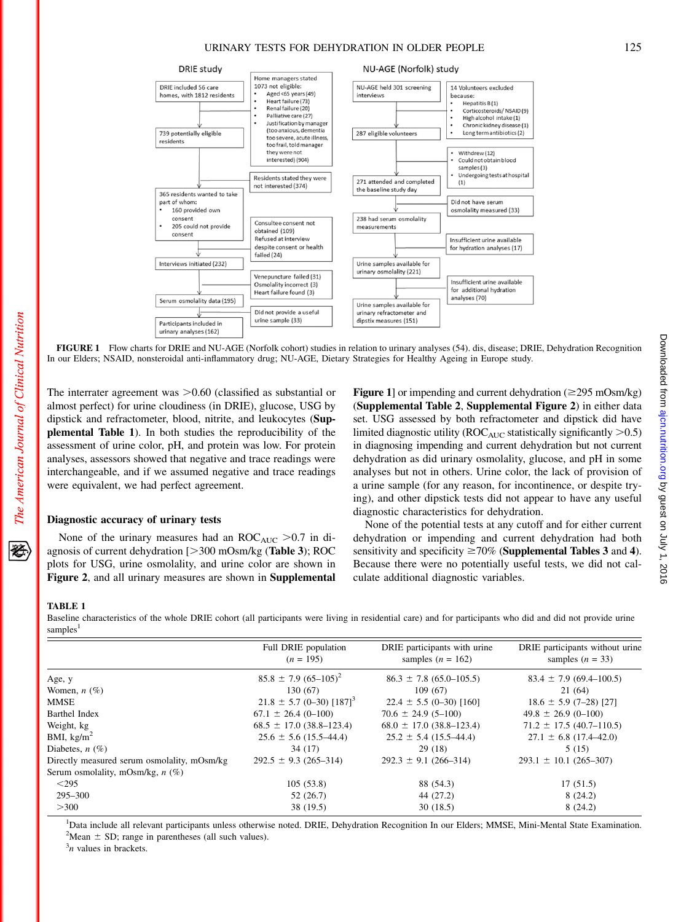

FIGURE 1 Flow charts for DRIE and NU-AGE (Norfolk cohort) studies in relation to urinary analyses (54). dis, disease; DRIE, Dehydration Recognition In our Elders; NSAID, nonsteroidal anti-inflammatory drug; NU-AGE, Dietary Strategies for Healthy Ageing in Europe study.

The interrater agreement was  $>0.60$  (classified as substantial or almost perfect) for urine cloudiness (in DRIE), glucose, USG by dipstick and refractometer, blood, nitrite, and leukocytes (Supplemental Table 1). In both studies the reproducibility of the assessment of urine color, pH, and protein was low. For protein analyses, assessors showed that negative and trace readings were interchangeable, and if we assumed negative and trace readings were equivalent, we had perfect agreement.

# Diagnostic accuracy of urinary tests

None of the urinary measures had an  $ROC_{AUC} > 0.7$  in diagnosis of current dehydration  $[>300 \text{ mOsm/kg}$  (Table 3); ROC plots for USG, urine osmolality, and urine color are shown in Figure 2, and all urinary measures are shown in Supplemental **Figure 1** or impending and current dehydration ( $\geq$ 295 mOsm/kg) (Supplemental Table 2, Supplemental Figure 2) in either data set. USG assessed by both refractometer and dipstick did have limited diagnostic utility ( $\text{ROC}_{\text{AUC}}$  statistically significantly  $>0.5$ ) in diagnosing impending and current dehydration but not current dehydration as did urinary osmolality, glucose, and pH in some analyses but not in others. Urine color, the lack of provision of a urine sample (for any reason, for incontinence, or despite trying), and other dipstick tests did not appear to have any useful diagnostic characteristics for dehydration.

None of the potential tests at any cutoff and for either current dehydration or impending and current dehydration had both sensitivity and specificity  $\geq$  70% (Supplemental Tables 3 and 4). Because there were no potentially useful tests, we did not calculate additional diagnostic variables.

# TABLE 1

Baseline characteristics of the whole DRIE cohort (all participants were living in residential care) and for participants who did and did not provide urine samples<sup>1</sup>

|                                             | Full DRIE population<br>$(n = 195)$        | DRIE participants with urine<br>samples $(n = 162)$ | DRIE participants without urine<br>samples $(n = 33)$ |
|---------------------------------------------|--------------------------------------------|-----------------------------------------------------|-------------------------------------------------------|
| Age, y                                      | $85.8 \pm 7.9 (65 - 105)^2$                | $86.3 \pm 7.8$ (65.0–105.5)                         | $83.4 \pm 7.9$ (69.4–100.5)                           |
| Women, $n$ $(\%)$                           | 130(67)                                    | 109(67)                                             | 21(64)                                                |
| MMSE                                        | $21.8 \pm 5.7$ (0-30) $[187]$ <sup>3</sup> | $22.4 \pm 5.5$ (0-30) [160]                         | $18.6 \pm 5.9$ (7-28) [27]                            |
| Barthel Index                               | $67.1 \pm 26.4 \ (0-100)$                  | $70.6 \pm 24.9$ (5-100)                             | $49.8 \pm 26.9$ (0-100)                               |
| Weight, kg                                  | $68.5 \pm 17.0$ (38.8–123.4)               | $68.0 \pm 17.0$ (38.8–123.4)                        | $71.2 \pm 17.5 (40.7 - 110.5)$                        |
| BMI, $\text{kg/m}^2$                        | $25.6 \pm 5.6$ (15.5–44.4)                 | $25.2 \pm 5.4$ (15.5–44.4)                          | $27.1 \pm 6.8$ (17.4–42.0)                            |
| Diabetes, $n$ (%)                           | 34(17)                                     | 29(18)                                              | 5(15)                                                 |
| Directly measured serum osmolality, mOsm/kg | $292.5 \pm 9.3$ (265-314)                  | $292.3 \pm 9.1 (266 - 314)$                         | $293.1 \pm 10.1 (265 - 307)$                          |
| Serum osmolality, mOsm/kg, $n$ (%)          |                                            |                                                     |                                                       |
| < 295                                       | 105(53.8)                                  | 88 (54.3)                                           | 17(51.5)                                              |
| 295–300                                     | 52(26.7)                                   | 44 (27.2)                                           | 8(24.2)                                               |
| >300                                        | 38 (19.5)                                  | 30(18.5)                                            | 8(24.2)                                               |

<sup>1</sup>Data include all relevant participants unless otherwise noted. DRIE, Dehydration Recognition In our Elders; MMSE, Mini-Mental State Examination.  $2$ Mean  $\pm$  SD; range in parentheses (all such values).

 $3n$  values in brackets.

经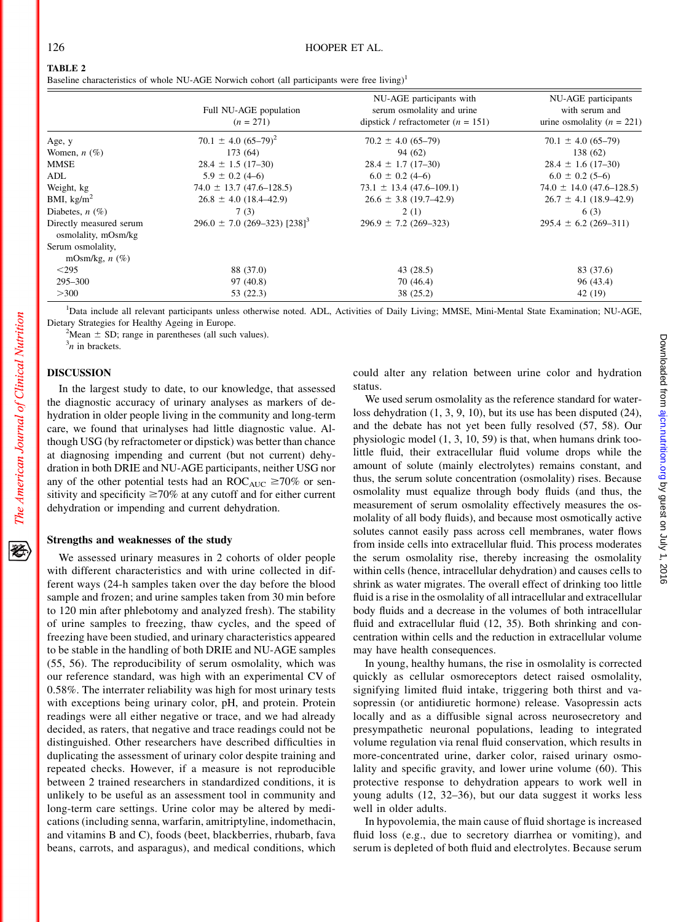# TABLE 2

Baseline characteristics of whole NU-AGE Norwich cohort (all participants were free living)<sup>1</sup>

|                                                |                                              | NU-AGE participants with             | NU-AGE participants              |
|------------------------------------------------|----------------------------------------------|--------------------------------------|----------------------------------|
|                                                | Full NU-AGE population                       | serum osmolality and urine           | with serum and                   |
|                                                | $(n = 271)$                                  | dipstick / refractometer $(n = 151)$ | urine osmolality ( $n = 221$ )   |
| Age, y                                         | $70.1 \pm 4.0 (65 - 79)^2$                   | $70.2 \pm 4.0$ (65-79)               | $70.1 \pm 4.0$ (65–79)           |
| Women, $n$ $(\%)$                              | 173 (64)                                     | 94 (62)                              | 138 (62)                         |
| MMSE                                           | $28.4 \pm 1.5$ (17-30)                       | $28.4 \pm 1.7 \ (17 - 30)$           | $28.4 \pm 1.6$ (17-30)           |
| ADL                                            | $5.9 \pm 0.2$ (4-6)                          | $6.0 \pm 0.2$ (4-6)                  | $6.0 \pm 0.2$ (5-6)              |
| Weight, kg                                     | $74.0 \pm 13.7 (47.6 - 128.5)$               | $73.1 \pm 13.4 (47.6 - 109.1)$       | $74.0 \pm 14.0 \ (47.6 - 128.5)$ |
| BMI, $\text{kg/m}^2$                           | $26.8 \pm 4.0$ (18.4–42.9)                   | $26.6 \pm 3.8$ (19.7–42.9)           | $26.7 \pm 4.1 (18.9 - 42.9)$     |
| Diabetes, $n$ (%)                              | 7(3)                                         | 2(1)                                 | 6(3)                             |
| Directly measured serum<br>osmolality, mOsm/kg | $296.0 \pm 7.0$ (269–323) [238] <sup>3</sup> | $296.9 \pm 7.2$ (269-323)            | $295.4 \pm 6.2 (269 - 311)$      |
| Serum osmolality,                              |                                              |                                      |                                  |
| mOsm/kg, $n$ (%)                               |                                              |                                      |                                  |
| < 295                                          | 88 (37.0)                                    | 43(28.5)                             | 83 (37.6)                        |
| 295–300                                        | 97 (40.8)                                    | 70 (46.4)                            | 96 (43.4)                        |
| >300                                           | 53(22.3)                                     | 38 (25.2)                            | 42 (19)                          |

<sup>1</sup>Data include all relevant participants unless otherwise noted. ADL, Activities of Daily Living; MMSE, Mini-Mental State Examination; NU-AGE, Dietary Strategies for Healthy Ageing in Europe. <sup>2</sup>

 $^{2}$ Mean  $\pm$  SD; range in parentheses (all such values).

 $3n$  in brackets.

# DISCUSSION

The American Journal of Clinical Nutrition

经

In the largest study to date, to our knowledge, that assessed the diagnostic accuracy of urinary analyses as markers of dehydration in older people living in the community and long-term care, we found that urinalyses had little diagnostic value. Although USG (by refractometer or dipstick) was better than chance at diagnosing impending and current (but not current) dehydration in both DRIE and NU-AGE participants, neither USG nor any of the other potential tests had an ROC<sub>AUC</sub>  $\geq 70\%$  or sensitivity and specificity  $\geq 70\%$  at any cutoff and for either current dehydration or impending and current dehydration.

## Strengths and weaknesses of the study

We assessed urinary measures in 2 cohorts of older people with different characteristics and with urine collected in different ways (24-h samples taken over the day before the blood sample and frozen; and urine samples taken from 30 min before to 120 min after phlebotomy and analyzed fresh). The stability of urine samples to freezing, thaw cycles, and the speed of freezing have been studied, and urinary characteristics appeared to be stable in the handling of both DRIE and NU-AGE samples (55, 56). The reproducibility of serum osmolality, which was our reference standard, was high with an experimental CV of 0.58%. The interrater reliability was high for most urinary tests with exceptions being urinary color, pH, and protein. Protein readings were all either negative or trace, and we had already decided, as raters, that negative and trace readings could not be distinguished. Other researchers have described difficulties in duplicating the assessment of urinary color despite training and repeated checks. However, if a measure is not reproducible between 2 trained researchers in standardized conditions, it is unlikely to be useful as an assessment tool in community and long-term care settings. Urine color may be altered by medications (including senna, warfarin, amitriptyline, indomethacin, and vitamins B and C), foods (beet, blackberries, rhubarb, fava beans, carrots, and asparagus), and medical conditions, which could alter any relation between urine color and hydration status.

We used serum osmolality as the reference standard for waterloss dehydration (1, 3, 9, 10), but its use has been disputed (24), and the debate has not yet been fully resolved (57, 58). Our physiologic model (1, 3, 10, 59) is that, when humans drink toolittle fluid, their extracellular fluid volume drops while the amount of solute (mainly electrolytes) remains constant, and thus, the serum solute concentration (osmolality) rises. Because osmolality must equalize through body fluids (and thus, the measurement of serum osmolality effectively measures the osmolality of all body fluids), and because most osmotically active solutes cannot easily pass across cell membranes, water flows from inside cells into extracellular fluid. This process moderates the serum osmolality rise, thereby increasing the osmolality within cells (hence, intracellular dehydration) and causes cells to shrink as water migrates. The overall effect of drinking too little fluid is a rise in the osmolality of all intracellular and extracellular body fluids and a decrease in the volumes of both intracellular fluid and extracellular fluid (12, 35). Both shrinking and concentration within cells and the reduction in extracellular volume may have health consequences.

In young, healthy humans, the rise in osmolality is corrected quickly as cellular osmoreceptors detect raised osmolality, signifying limited fluid intake, triggering both thirst and vasopressin (or antidiuretic hormone) release. Vasopressin acts locally and as a diffusible signal across neurosecretory and presympathetic neuronal populations, leading to integrated volume regulation via renal fluid conservation, which results in more-concentrated urine, darker color, raised urinary osmolality and specific gravity, and lower urine volume (60). This protective response to dehydration appears to work well in young adults (12, 32–36), but our data suggest it works less well in older adults.

In hypovolemia, the main cause of fluid shortage is increased fluid loss (e.g., due to secretory diarrhea or vomiting), and serum is depleted of both fluid and electrolytes. Because serum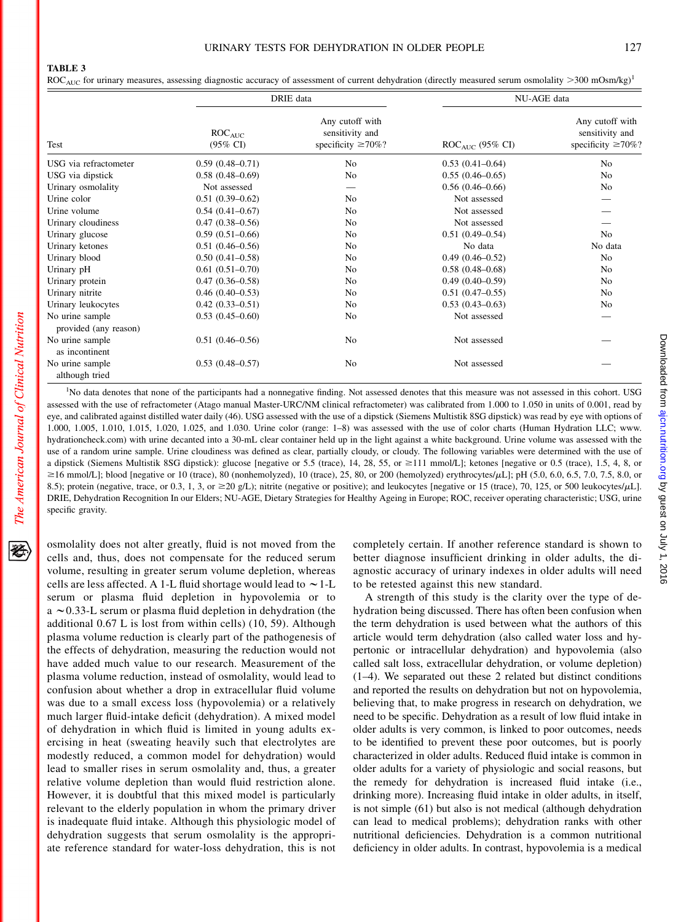$ROC_{AUC}$  for urinary measures, assessing diagnostic accuracy of assessment of current dehydration (directly measured serum osmolality  $>$ 300 mOsm/kg)<sup>1</sup>

| Test                                     | DRIE data                                 |                                                                 | NU-AGE data          |                                                                 |
|------------------------------------------|-------------------------------------------|-----------------------------------------------------------------|----------------------|-----------------------------------------------------------------|
|                                          | ROC <sub>AHC</sub><br>$(95\% \text{ CI})$ | Any cutoff with<br>sensitivity and<br>specificity $\geq 70\%$ ? | $ROC_{AIC}$ (95% CI) | Any cutoff with<br>sensitivity and<br>specificity $\geq 70\%$ ? |
| USG via refractometer                    | $0.59(0.48 - 0.71)$                       | N <sub>0</sub>                                                  | $0.53(0.41-0.64)$    | N <sub>0</sub>                                                  |
| USG via dipstick                         | $0.58(0.48 - 0.69)$                       | N <sub>0</sub>                                                  | $0.55(0.46 - 0.65)$  | N <sub>0</sub>                                                  |
| Urinary osmolality                       | Not assessed                              |                                                                 | $0.56(0.46 - 0.66)$  | N <sub>0</sub>                                                  |
| Urine color                              | $0.51(0.39 - 0.62)$                       | N <sub>0</sub>                                                  | Not assessed         |                                                                 |
| Urine volume                             | $0.54(0.41 - 0.67)$                       | N <sub>0</sub>                                                  | Not assessed         |                                                                 |
| Urinary cloudiness                       | $0.47(0.38 - 0.56)$                       | N <sub>0</sub>                                                  | Not assessed         |                                                                 |
| Urinary glucose                          | $0.59(0.51-0.66)$                         | N <sub>0</sub>                                                  | $0.51(0.49 - 0.54)$  | N <sub>o</sub>                                                  |
| Urinary ketones                          | $0.51(0.46 - 0.56)$                       | N <sub>0</sub>                                                  | No data              | No data                                                         |
| Urinary blood                            | $0.50(0.41 - 0.58)$                       | N <sub>0</sub>                                                  | $0.49(0.46 - 0.52)$  | No                                                              |
| Urinary pH                               | $0.61(0.51-0.70)$                         | N <sub>0</sub>                                                  | $0.58(0.48 - 0.68)$  | N <sub>0</sub>                                                  |
| Urinary protein                          | $0.47(0.36 - 0.58)$                       | N <sub>0</sub>                                                  | $0.49(0.40-0.59)$    | N <sub>0</sub>                                                  |
| Urinary nitrite                          | $0.46(0.40-0.53)$                         | N <sub>0</sub>                                                  | $0.51(0.47-0.55)$    | N <sub>0</sub>                                                  |
| Urinary leukocytes                       | $0.42(0.33 - 0.51)$                       | N <sub>0</sub>                                                  | $0.53(0.43 - 0.63)$  | N <sub>0</sub>                                                  |
| No urine sample<br>provided (any reason) | $0.53(0.45-0.60)$                         | N <sub>0</sub>                                                  | Not assessed         |                                                                 |
| No urine sample<br>as incontinent        | $0.51(0.46 - 0.56)$                       | N <sub>0</sub>                                                  | Not assessed         |                                                                 |
| No urine sample<br>although tried        | $0.53(0.48 - 0.57)$                       | N <sub>0</sub>                                                  | Not assessed         |                                                                 |

<sup>1</sup>No data denotes that none of the participants had a nonnegative finding. Not assessed denotes that this measure was not assessed in this cohort. USG assessed with the use of refractometer (Atago manual Master-URC/NM clinical refractometer) was calibrated from 1.000 to 1.050 in units of 0.001, read by eye, and calibrated against distilled water daily (46). USG assessed with the use of a dipstick (Siemens Multistik 8SG dipstick) was read by eye with options of 1.000, 1.005, 1.010, 1.015, 1.020, 1.025, and 1.030. Urine color (range: 1–8) was assessed with the use of color charts (Human Hydration LLC; www. hydrationcheck.com) with urine decanted into a 30-mL clear container held up in the light against a white background. Urine volume was assessed with the use of a random urine sample. Urine cloudiness was defined as clear, partially cloudy, or cloudy. The following variables were determined with the use of a dipstick (Siemens Multistik 8SG dipstick): glucose [negative or 5.5 (trace), 14, 28, 55, or  $\geq$ 111 mmol/L]; ketones [negative or 0.5 (trace), 1.5, 4, 8, or  $\geq$ 16 mmol/L]; blood [negative or 10 (trace), 80 (nonhemolyzed), 10 (trace), 25, 80, or 200 (hemolyzed) erythrocytes/ $\mu$ L]; pH (5.0, 6.0, 6.5, 7.0, 7.5, 8.0, or 8.5); protein (negative, trace, or 0.3, 1, 3, or  $\geq 20$  g/L); nitrite (negative or positive); and leukocytes [negative or 15 (trace), 70, 125, or 500 leukocytes/ $\mu$ L]. DRIE, Dehydration Recognition In our Elders; NU-AGE, Dietary Strategies for Healthy Ageing in Europe; ROC, receiver operating characteristic; USG, urine specific gravity.

osmolality does not alter greatly, fluid is not moved from the cells and, thus, does not compensate for the reduced serum volume, resulting in greater serum volume depletion, whereas cells are less affected. A 1-L fluid shortage would lead to  $\sim$  1-L serum or plasma fluid depletion in hypovolemia or to  $a \sim 0.33$ -L serum or plasma fluid depletion in dehydration (the additional 0.67 L is lost from within cells) (10, 59). Although plasma volume reduction is clearly part of the pathogenesis of the effects of dehydration, measuring the reduction would not have added much value to our research. Measurement of the plasma volume reduction, instead of osmolality, would lead to confusion about whether a drop in extracellular fluid volume was due to a small excess loss (hypovolemia) or a relatively much larger fluid-intake deficit (dehydration). A mixed model of dehydration in which fluid is limited in young adults exercising in heat (sweating heavily such that electrolytes are modestly reduced, a common model for dehydration) would lead to smaller rises in serum osmolality and, thus, a greater relative volume depletion than would fluid restriction alone. However, it is doubtful that this mixed model is particularly relevant to the elderly population in whom the primary driver is inadequate fluid intake. Although this physiologic model of dehydration suggests that serum osmolality is the appropriate reference standard for water-loss dehydration, this is not

completely certain. If another reference standard is shown to better diagnose insufficient drinking in older adults, the diagnostic accuracy of urinary indexes in older adults will need to be retested against this new standard.

A strength of this study is the clarity over the type of dehydration being discussed. There has often been confusion when the term dehydration is used between what the authors of this article would term dehydration (also called water loss and hypertonic or intracellular dehydration) and hypovolemia (also called salt loss, extracellular dehydration, or volume depletion) (1–4). We separated out these 2 related but distinct conditions and reported the results on dehydration but not on hypovolemia, believing that, to make progress in research on dehydration, we need to be specific. Dehydration as a result of low fluid intake in older adults is very common, is linked to poor outcomes, needs to be identified to prevent these poor outcomes, but is poorly characterized in older adults. Reduced fluid intake is common in older adults for a variety of physiologic and social reasons, but the remedy for dehydration is increased fluid intake (i.e., drinking more). Increasing fluid intake in older adults, in itself, is not simple (61) but also is not medical (although dehydration can lead to medical problems); dehydration ranks with other nutritional deficiencies. Dehydration is a common nutritional deficiency in older adults. In contrast, hypovolemia is a medical by guest on July 1, 2016 [ajcn.nutrition.org](http://ajcn.nutrition.org/) Downloaded from

Downloaded from ajon.nutrition.org by guest on July 1, 2016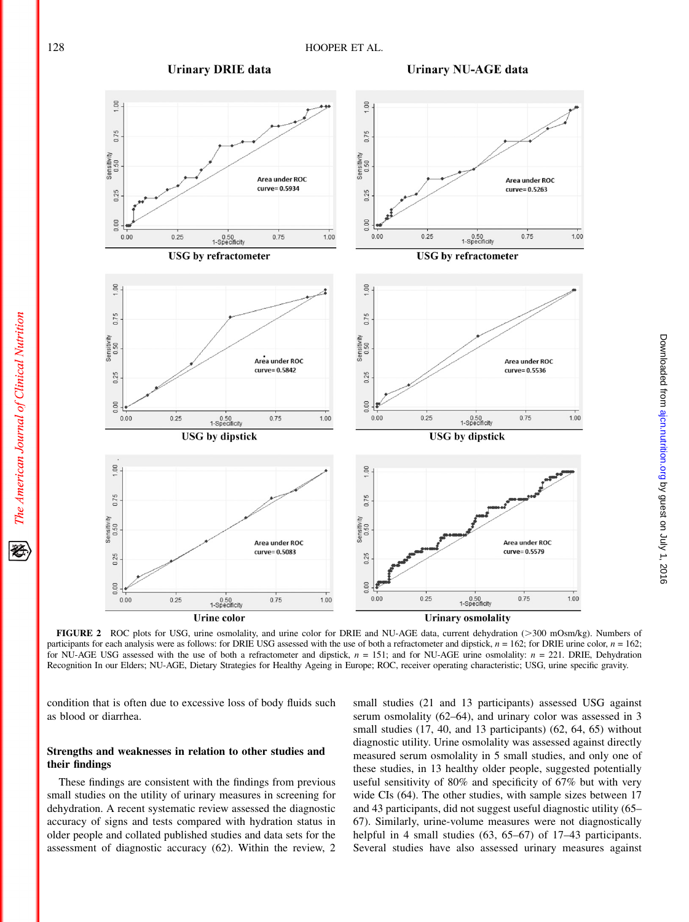

Downloaded from ajon.nutrition.org by guest on July 1, 2016 by guest on July 1, 2016 [ajcn.nutrition.org](http://ajcn.nutrition.org/) Downloaded from

FIGURE 2 ROC plots for USG, urine osmolality, and urine color for DRIE and NU-AGE data, current dehydration (>300 mOsm/kg). Numbers of participants for each analysis were as follows: for DRIE USG assessed with the use of both a refractometer and dipstick,  $n = 162$ ; for DRIE urine color,  $n = 162$ ; for NU-AGE USG assessed with the use of both a refractometer and dipstick,  $n = 151$ ; and for NU-AGE urine osmolality:  $n = 221$ . DRIE, Dehydration Recognition In our Elders; NU-AGE, Dietary Strategies for Healthy Ageing in Europe; ROC, receiver operating characteristic; USG, urine specific gravity.

condition that is often due to excessive loss of body fluids such as blood or diarrhea.

# Strengths and weaknesses in relation to other studies and their findings

These findings are consistent with the findings from previous small studies on the utility of urinary measures in screening for dehydration. A recent systematic review assessed the diagnostic accuracy of signs and tests compared with hydration status in older people and collated published studies and data sets for the assessment of diagnostic accuracy (62). Within the review, 2 small studies (21 and 13 participants) assessed USG against serum osmolality (62–64), and urinary color was assessed in 3 small studies (17, 40, and 13 participants) (62, 64, 65) without diagnostic utility. Urine osmolality was assessed against directly measured serum osmolality in 5 small studies, and only one of these studies, in 13 healthy older people, suggested potentially useful sensitivity of 80% and specificity of 67% but with very wide CIs (64). The other studies, with sample sizes between 17 and 43 participants, did not suggest useful diagnostic utility (65– 67). Similarly, urine-volume measures were not diagnostically helpful in 4 small studies (63, 65–67) of 17–43 participants. Several studies have also assessed urinary measures against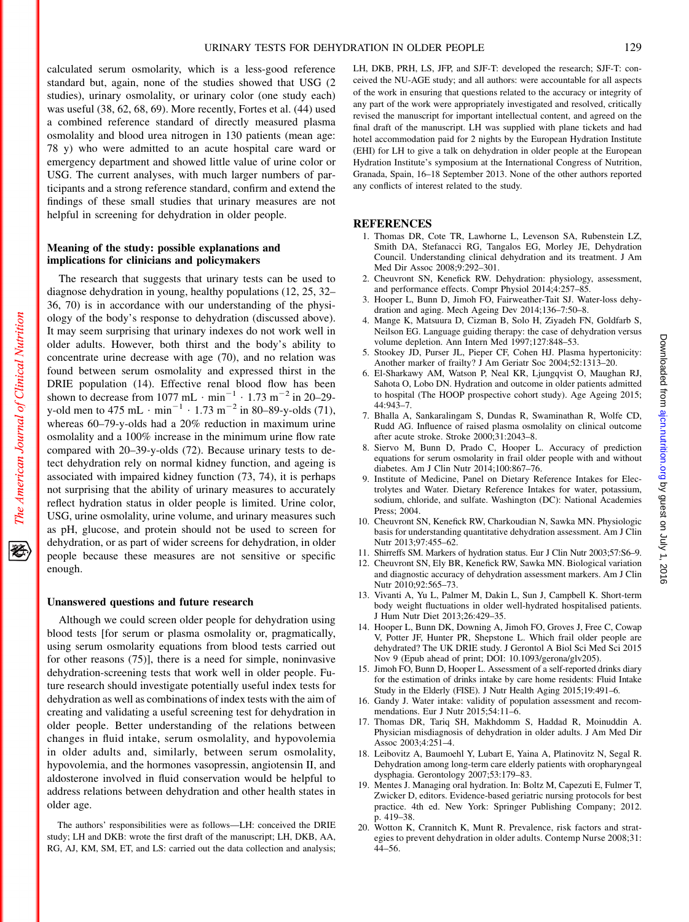calculated serum osmolarity, which is a less-good reference standard but, again, none of the studies showed that USG (2 studies), urinary osmolality, or urinary color (one study each) was useful (38, 62, 68, 69). More recently, Fortes et al. (44) used a combined reference standard of directly measured plasma osmolality and blood urea nitrogen in 130 patients (mean age: 78 y) who were admitted to an acute hospital care ward or emergency department and showed little value of urine color or USG. The current analyses, with much larger numbers of participants and a strong reference standard, confirm and extend the findings of these small studies that urinary measures are not helpful in screening for dehydration in older people.

## Meaning of the study: possible explanations and implications for clinicians and policymakers

The research that suggests that urinary tests can be used to diagnose dehydration in young, healthy populations (12, 25, 32– 36, 70) is in accordance with our understanding of the physiology of the body's response to dehydration (discussed above). It may seem surprising that urinary indexes do not work well in older adults. However, both thirst and the body's ability to concentrate urine decrease with age (70), and no relation was found between serum osmolality and expressed thirst in the DRIE population (14). Effective renal blood flow has been shown to decrease from 1077 mL  $\cdot$  min<sup>-1</sup>  $\cdot$  1.73 m<sup>-2</sup> in 20–29y-old men to 475 mL  $\cdot$  min<sup>-1</sup>  $\cdot$  1.73 m<sup>-2</sup> in 80–89-y-olds (71), whereas 60–79-y-olds had a 20% reduction in maximum urine osmolality and a 100% increase in the minimum urine flow rate compared with 20–39-y-olds (72). Because urinary tests to detect dehydration rely on normal kidney function, and ageing is associated with impaired kidney function (73, 74), it is perhaps not surprising that the ability of urinary measures to accurately reflect hydration status in older people is limited. Urine color, USG, urine osmolality, urine volume, and urinary measures such as pH, glucose, and protein should not be used to screen for dehydration, or as part of wider screens for dehydration, in older people because these measures are not sensitive or specific enough.

## Unanswered questions and future research

Although we could screen older people for dehydration using blood tests [for serum or plasma osmolality or, pragmatically, using serum osmolarity equations from blood tests carried out for other reasons (75)], there is a need for simple, noninvasive dehydration-screening tests that work well in older people. Future research should investigate potentially useful index tests for dehydration as well as combinations of index tests with the aim of creating and validating a useful screening test for dehydration in older people. Better understanding of the relations between changes in fluid intake, serum osmolality, and hypovolemia in older adults and, similarly, between serum osmolality, hypovolemia, and the hormones vasopressin, angiotensin II, and aldosterone involved in fluid conservation would be helpful to address relations between dehydration and other health states in older age.

The authors' responsibilities were as follows—LH: conceived the DRIE study; LH and DKB: wrote the first draft of the manuscript; LH, DKB, AA, RG, AJ, KM, SM, ET, and LS: carried out the data collection and analysis; LH, DKB, PRH, LS, JFP, and SJF-T: developed the research; SJF-T: conceived the NU-AGE study; and all authors: were accountable for all aspects of the work in ensuring that questions related to the accuracy or integrity of any part of the work were appropriately investigated and resolved, critically revised the manuscript for important intellectual content, and agreed on the final draft of the manuscript. LH was supplied with plane tickets and had hotel accommodation paid for 2 nights by the European Hydration Institute (EHI) for LH to give a talk on dehydration in older people at the European Hydration Institute's symposium at the International Congress of Nutrition, Granada, Spain, 16–18 September 2013. None of the other authors reported any conflicts of interest related to the study.

# REFERENCES

- 1. Thomas DR, Cote TR, Lawhorne L, Levenson SA, Rubenstein LZ, Smith DA, Stefanacci RG, Tangalos EG, Morley JE, Dehydration Council. Understanding clinical dehydration and its treatment. J Am Med Dir Assoc 2008;9:292–301.
- 2. Cheuvront SN, Kenefick RW. Dehydration: physiology, assessment, and performance effects. Compr Physiol 2014;4:257–85.
- 3. Hooper L, Bunn D, Jimoh FO, Fairweather-Tait SJ. Water-loss dehydration and aging. Mech Ageing Dev 2014;136–7:50–8.
- 4. Mange K, Matsuura D, Cizman B, Solo H, Ziyadeh FN, Goldfarb S, Neilson EG. Language guiding therapy: the case of dehydration versus volume depletion. Ann Intern Med 1997;127:848–53.
- 5. Stookey JD, Purser JL, Pieper CF, Cohen HJ. Plasma hypertonicity: Another marker of frailty? J Am Geriatr Soc 2004;52:1313–20.
- 6. El-Sharkawy AM, Watson P, Neal KR, Ljungqvist O, Maughan RJ, Sahota O, Lobo DN. Hydration and outcome in older patients admitted to hospital (The HOOP prospective cohort study). Age Ageing 2015; 44:943–7.
- 7. Bhalla A, Sankaralingam S, Dundas R, Swaminathan R, Wolfe CD, Rudd AG. Influence of raised plasma osmolality on clinical outcome after acute stroke. Stroke 2000;31:2043–8.
- 8. Siervo M, Bunn D, Prado C, Hooper L. Accuracy of prediction equations for serum osmolarity in frail older people with and without diabetes. Am J Clin Nutr 2014;100:867–76.
- 9. Institute of Medicine, Panel on Dietary Reference Intakes for Electrolytes and Water. Dietary Reference Intakes for water, potassium, sodium, chloride, and sulfate. Washington (DC): National Academies Press; 2004.
- 10. Cheuvront SN, Kenefick RW, Charkoudian N, Sawka MN. Physiologic basis for understanding quantitative dehydration assessment. Am J Clin Nutr 2013;97:455–62.
- 11. Shirreffs SM. Markers of hydration status. Eur J Clin Nutr 2003;57:S6–9.
- 12. Cheuvront SN, Ely BR, Kenefick RW, Sawka MN. Biological variation and diagnostic accuracy of dehydration assessment markers. Am J Clin Nutr 2010;92:565–73.
- 13. Vivanti A, Yu L, Palmer M, Dakin L, Sun J, Campbell K. Short-term body weight fluctuations in older well-hydrated hospitalised patients. J Hum Nutr Diet 2013;26:429–35.
- 14. Hooper L, Bunn DK, Downing A, Jimoh FO, Groves J, Free C, Cowap V, Potter JF, Hunter PR, Shepstone L. Which frail older people are dehydrated? The UK DRIE study. J Gerontol A Biol Sci Med Sci 2015 Nov 9 (Epub ahead of print; DOI: 10.1093/gerona/glv205).
- 15. Jimoh FO, Bunn D, Hooper L. Assessment of a self-reported drinks diary for the estimation of drinks intake by care home residents: Fluid Intake Study in the Elderly (FISE). J Nutr Health Aging 2015;19:491–6.
- 16. Gandy J. Water intake: validity of population assessment and recommendations. Eur J Nutr 2015;54:11–6.
- 17. Thomas DR, Tariq SH, Makhdomm S, Haddad R, Moinuddin A. Physician misdiagnosis of dehydration in older adults. J Am Med Dir Assoc 2003;4:251–4.
- 18. Leibovitz A, Baumoehl Y, Lubart E, Yaina A, Platinovitz N, Segal R. Dehydration among long-term care elderly patients with oropharyngeal dysphagia. Gerontology 2007;53:179–83.
- 19. Mentes J. Managing oral hydration. In: Boltz M, Capezuti E, Fulmer T, Zwicker D, editors. Evidence-based geriatric nursing protocols for best practice. 4th ed. New York: Springer Publishing Company; 2012. p. 419–38.
- 20. Wotton K, Crannitch K, Munt R. Prevalence, risk factors and strategies to prevent dehydration in older adults. Contemp Nurse 2008;31: 44–56.

by guest on July 1, 2016 [ajcn.nutrition.org](http://ajcn.nutrition.org/) Downloaded from

Downloaded from ajon.nutrition.org by guest on July 1, 2016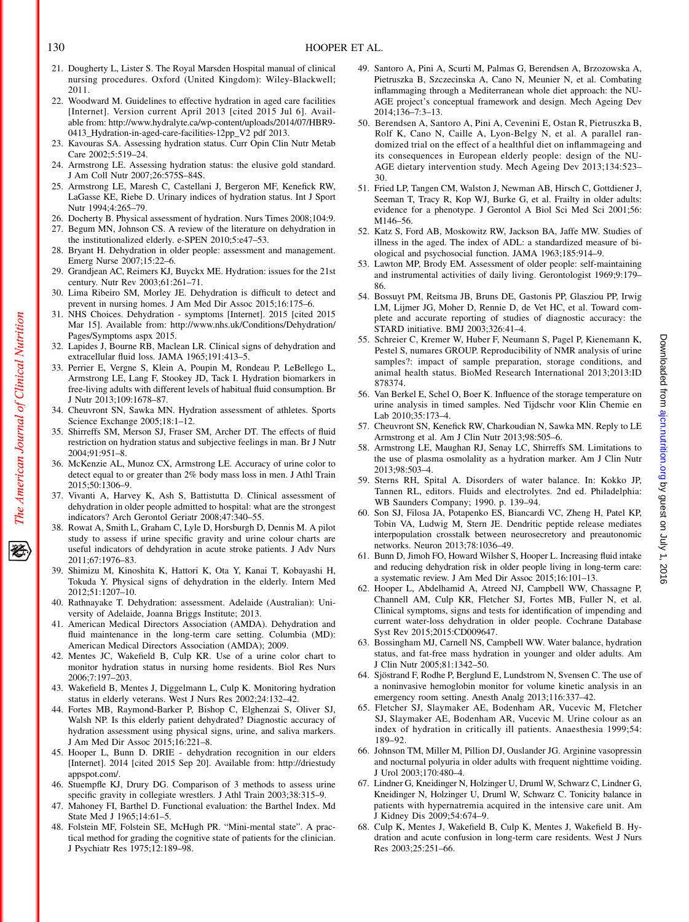- 21. Dougherty L, Lister S. The Royal Marsden Hospital manual of clinical nursing procedures. Oxford (United Kingdom): Wiley-Blackwell; 2011.
- 22. Woodward M. Guidelines to effective hydration in aged care facilities [Internet]. Version current April 2013 [cited 2015 Jul 6]. Available from: http://www.hydralyte.ca/wp-content/uploads/2014/07/HBR9- 0413\_Hydration-in-aged-care-facilities-12pp\_V2 pdf 2013.
- 23. Kavouras SA. Assessing hydration status. Curr Opin Clin Nutr Metab Care 2002;5:519–24.
- 24. Armstrong LE. Assessing hydration status: the elusive gold standard. J Am Coll Nutr 2007;26:575S–84S.
- 25. Armstrong LE, Maresh C, Castellani J, Bergeron MF, Kenefick RW, LaGasse KE, Riebe D. Urinary indices of hydration status. Int J Sport Nutr 1994;4:265–79.
- 26. Docherty B. Physical assessment of hydration. Nurs Times 2008;104:9.
- 27. Begum MN, Johnson CS. A review of the literature on dehydration in the institutionalized elderly. e-SPEN 2010;5:e47–53.
- 28. Bryant H. Dehydration in older people: assessment and management. Emerg Nurse 2007;15:22–6.
- 29. Grandjean AC, Reimers KJ, Buyckx ME. Hydration: issues for the 21st century. Nutr Rev 2003;61:261–71.
- 30. Lima Ribeiro SM, Morley JE. Dehydration is difficult to detect and prevent in nursing homes. J Am Med Dir Assoc 2015;16:175–6.
- 31. NHS Choices. Dehydration symptoms [Internet]. 2015 [cited 2015 Mar 15]. Available from: http://www.nhs.uk/Conditions/Dehydration/ Pages/Symptoms aspx 2015.
- 32. Lapides J, Bourne RB, Maclean LR. Clinical signs of dehydration and extracellular fluid loss. JAMA 1965;191:413–5.
- 33. Perrier E, Vergne S, Klein A, Poupin M, Rondeau P, LeBellego L, Armstrong LE, Lang F, Stookey JD, Tack I. Hydration biomarkers in free-living adults with different levels of habitual fluid consumption. Br J Nutr 2013;109:1678–87.
- Cheuvront SN, Sawka MN. Hydration assessment of athletes. Sports Science Exchange 2005;18:1–12.
- 35. Shirreffs SM, Merson SJ, Fraser SM, Archer DT. The effects of fluid restriction on hydration status and subjective feelings in man. Br J Nutr 2004;91:951–8.
- 36. McKenzie AL, Munoz CX, Armstrong LE. Accuracy of urine color to detect equal to or greater than 2% body mass loss in men. J Athl Train 2015;50:1306–9.
- 37. Vivanti A, Harvey K, Ash S, Battistutta D. Clinical assessment of dehydration in older people admitted to hospital: what are the strongest indicators? Arch Gerontol Geriatr 2008;47:340–55.
- 38. Rowat A, Smith L, Graham C, Lyle D, Horsburgh D, Dennis M. A pilot study to assess if urine specific gravity and urine colour charts are useful indicators of dehdyration in acute stroke patients. J Adv Nurs 2011;67:1976–83.
- 39. Shimizu M, Kinoshita K, Hattori K, Ota Y, Kanai T, Kobayashi H, Tokuda Y. Physical signs of dehydration in the elderly. Intern Med 2012;51:1207–10.
- 40. Rathnayake T. Dehydration: assessment. Adelaide (Australian): University of Adelaide, Joanna Briggs Institute; 2013.
- 41. American Medical Directors Association (AMDA). Dehydration and fluid maintenance in the long-term care setting. Columbia (MD): American Medical Directors Association (AMDA); 2009.
- 42. Mentes JC, Wakefield B, Culp KR. Use of a urine color chart to monitor hydration status in nursing home residents. Biol Res Nurs 2006;7:197–203.
- 43. Wakefield B, Mentes J, Diggelmann L, Culp K. Monitoring hydration status in elderly veterans. West J Nurs Res 2002;24:132–42.
- 44. Fortes MB, Raymond-Barker P, Bishop C, Elghenzai S, Oliver SJ, Walsh NP. Is this elderly patient dehydrated? Diagnostic accuracy of hydration assessment using physical signs, urine, and saliva markers. J Am Med Dir Assoc 2015;16:221–8.
- 45. Hooper L, Bunn D. DRIE dehydration recognition in our elders [Internet]. 2014 [cited 2015 Sep 20]. Available from: http://driestudy appspot.com/.
- 46. Stuempfle KJ, Drury DG. Comparison of 3 methods to assess urine specific gravity in collegiate wrestlers. J Athl Train 2003;38:315–9.
- 47. Mahoney FI, Barthel D. Functional evaluation: the Barthel Index. Md State Med J 1965;14:61–5.
- 48. Folstein MF, Folstein SE, McHugh PR. "Mini-mental state". A practical method for grading the cognitive state of patients for the clinician. J Psychiatr Res 1975;12:189–98.
- 49. Santoro A, Pini A, Scurti M, Palmas G, Berendsen A, Brzozowska A, Pietruszka B, Szczecinska A, Cano N, Meunier N, et al. Combating inflammaging through a Mediterranean whole diet approach: the NU-AGE project's conceptual framework and design. Mech Ageing Dev 2014;136–7:3–13.
- 50. Berendsen A, Santoro A, Pini A, Cevenini E, Ostan R, Pietruszka B, Rolf K, Cano N, Caille A, Lyon-Belgy N, et al. A parallel randomized trial on the effect of a healthful diet on inflammageing and its consequences in European elderly people: design of the NU-AGE dietary intervention study. Mech Ageing Dev 2013;134:523– 30.
- 51. Fried LP, Tangen CM, Walston J, Newman AB, Hirsch C, Gottdiener J, Seeman T, Tracy R, Kop WJ, Burke G, et al. Frailty in older adults: evidence for a phenotype. J Gerontol A Biol Sci Med Sci 2001;56: M146–56.
- 52. Katz S, Ford AB, Moskowitz RW, Jackson BA, Jaffe MW. Studies of illness in the aged. The index of ADL: a standardized measure of biological and psychosocial function. JAMA 1963;185:914–9.
- 53. Lawton MP, Brody EM. Assessment of older people: self-maintaining and instrumental activities of daily living. Gerontologist 1969;9:179– 86.
- 54. Bossuyt PM, Reitsma JB, Bruns DE, Gastonis PP, Glasziou PP, Irwig LM, Lijmer JG, Moher D, Rennie D, de Vet HC, et al. Toward complete and accurate reporting of studies of diagnostic accuracy: the STARD initiative. BMJ 2003;326:41–4.
- 55. Schreier C, Kremer W, Huber F, Neumann S, Pagel P, Kienemann K, Pestel S, numares GROUP. Reproducibility of NMR analysis of urine samples?: impact of sample preparation, storage conditions, and animal health status. BioMed Research International 2013;2013:ID 878374.
- 56. Van Berkel E, Schel O, Boer K. Influence of the storage temperature on urine analysis in timed samples. Ned Tijdschr voor Klin Chemie en Lab 2010;35:173–4.
- 57. Cheuvront SN, Kenefick RW, Charkoudian N, Sawka MN. Reply to LE Armstrong et al. Am J Clin Nutr 2013;98:505–6.
- 58. Armstrong LE, Maughan RJ, Senay LC, Shirreffs SM. Limitations to the use of plasma osmolality as a hydration marker. Am J Clin Nutr 2013;98:503–4.
- 59. Sterns RH, Spital A. Disorders of water balance. In: Kokko JP, Tannen RL, editors. Fluids and electrolytes. 2nd ed. Philadelphia: WB Saunders Company; 1990. p. 139–94.
- 60. Son SJ, Filosa JA, Potapenko ES, Biancardi VC, Zheng H, Patel KP, Tobin VA, Ludwig M, Stern JE. Dendritic peptide release mediates interpopulation crosstalk between neurosecretory and preautonomic networks. Neuron 2013;78:1036–49.
- 61. Bunn D, Jimoh FO, Howard Wilsher S, Hooper L. Increasing fluid intake and reducing dehydration risk in older people living in long-term care: a systematic review. J Am Med Dir Assoc 2015;16:101–13.
- 62. Hooper L, Abdelhamid A, Atreed NJ, Campbell WW, Chassagne P, Channell AM, Culp KR, Fletcher SJ, Fortes MB, Fuller N, et al. Clinical symptoms, signs and tests for identification of impending and current water-loss dehydration in older people. Cochrane Database Syst Rev 2015;2015:CD009647.
- 63. Bossingham MJ, Carnell NS, Campbell WW. Water balance, hydration status, and fat-free mass hydration in younger and older adults. Am J Clin Nutr 2005;81:1342–50.
- 64. Sjöstrand F, Rodhe P, Berglund E, Lundstrom N, Svensen C. The use of a noninvasive hemoglobin monitor for volume kinetic analysis in an emergency room setting. Anesth Analg 2013;116:337–42.
- 65. Fletcher SJ, Slaymaker AE, Bodenham AR, Vucevic M, Fletcher SJ, Slaymaker AE, Bodenham AR, Vucevic M. Urine colour as an index of hydration in critically ill patients. Anaesthesia 1999;54: 189–92.
- 66. Johnson TM, Miller M, Pillion DJ, Ouslander JG. Arginine vasopressin and nocturnal polyuria in older adults with frequent nighttime voiding. J Urol 2003;170:480–4.
- 67. Lindner G, Kneidinger N, Holzinger U, Druml W, Schwarz C, Lindner G, Kneidinger N, Holzinger U, Druml W, Schwarz C. Tonicity balance in patients with hypernatremia acquired in the intensive care unit. Am J Kidney Dis 2009;54:674–9.
- 68. Culp K, Mentes J, Wakefield B, Culp K, Mentes J, Wakefield B. Hydration and acute confusion in long-term care residents. West J Nurs Res 2003;25:251–66.

The American Journal of Clinical Nutrition

犵